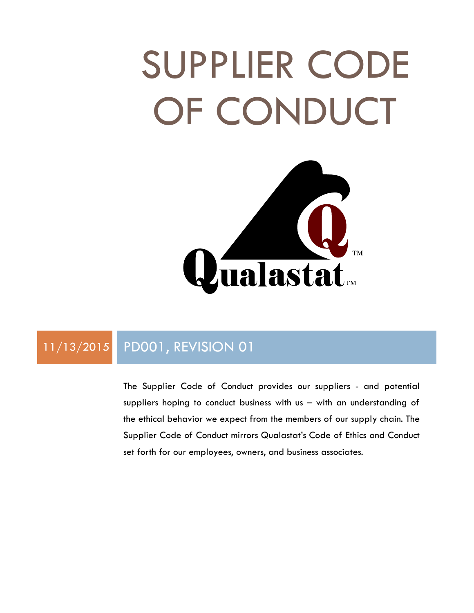# SUPPLIER CODE OF CONDUCT



### 11/13/2015 PD001, REVISION 01

The Supplier Code of Conduct provides our suppliers - and potential suppliers hoping to conduct business with us – with an understanding of the ethical behavior we expect from the members of our supply chain. The Supplier Code of Conduct mirrors Qualastat's Code of Ethics and Conduct set forth for our employees, owners, and business associates.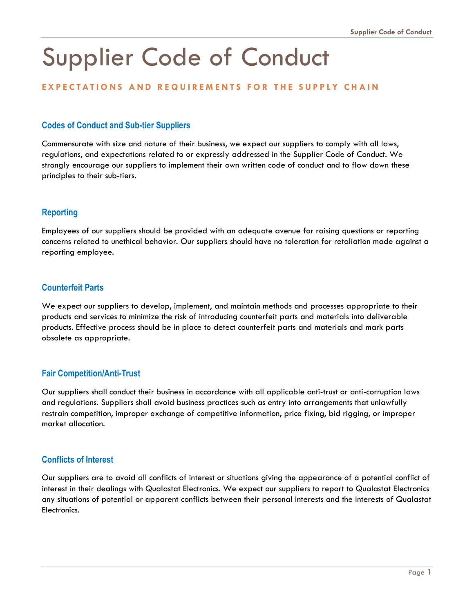## Supplier Code of Conduct

#### **EXPECTATIONS AND REQUIREMENTS FOR THE SUPPLY CHAIN**

#### **Codes of Conduct and Sub-tier Suppliers**

Commensurate with size and nature of their business, we expect our suppliers to comply with all laws, regulations, and expectations related to or expressly addressed in the Supplier Code of Conduct. We strongly encourage our suppliers to implement their own written code of conduct and to flow down these principles to their sub-tiers.

#### **Reporting**

Employees of our suppliers should be provided with an adequate avenue for raising questions or reporting concerns related to unethical behavior. Our suppliers should have no toleration for retaliation made against a reporting employee.

#### **Counterfeit Parts**

We expect our suppliers to develop, implement, and maintain methods and processes appropriate to their products and services to minimize the risk of introducing counterfeit parts and materials into deliverable products. Effective process should be in place to detect counterfeit parts and materials and mark parts obsolete as appropriate.

#### **Fair Competition/Anti-Trust**

Our suppliers shall conduct their business in accordance with all applicable anti-trust or anti-corruption laws and regulations. Suppliers shall avoid business practices such as entry into arrangements that unlawfully restrain competition, improper exchange of competitive information, price fixing, bid rigging, or improper market allocation.

#### **Conflicts of Interest**

Our suppliers are to avoid all conflicts of interest or situations giving the appearance of a potential conflict of interest in their dealings with Qualastat Electronics. We expect our suppliers to report to Qualastat Electronics any situations of potential or apparent conflicts between their personal interests and the interests of Qualastat Electronics.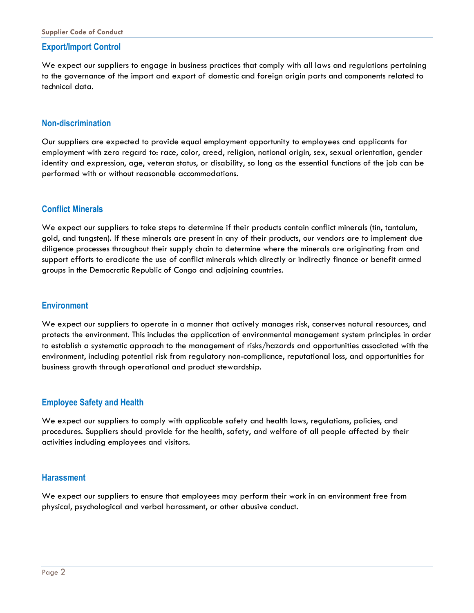#### **Export/Import Control**

We expect our suppliers to engage in business practices that comply with all laws and regulations pertaining to the governance of the import and export of domestic and foreign origin parts and components related to technical data.

#### **Non-discrimination**

Our suppliers are expected to provide equal employment opportunity to employees and applicants for employment with zero regard to: race, color, creed, religion, national origin, sex, sexual orientation, gender identity and expression, age, veteran status, or disability, so long as the essential functions of the job can be performed with or without reasonable accommodations.

#### **Conflict Minerals**

We expect our suppliers to take steps to determine if their products contain conflict minerals (tin, tantalum, gold, and tungsten). If these minerals are present in any of their products, our vendors are to implement due diligence processes throughout their supply chain to determine where the minerals are originating from and support efforts to eradicate the use of conflict minerals which directly or indirectly finance or benefit armed groups in the Democratic Republic of Congo and adjoining countries.

#### **Environment**

We expect our suppliers to operate in a manner that actively manages risk, conserves natural resources, and protects the environment. This includes the application of environmental management system principles in order to establish a systematic approach to the management of risks/hazards and opportunities associated with the environment, including potential risk from regulatory non-compliance, reputational loss, and opportunities for business growth through operational and product stewardship.

#### **Employee Safety and Health**

We expect our suppliers to comply with applicable safety and health laws, regulations, policies, and procedures. Suppliers should provide for the health, safety, and welfare of all people affected by their activities including employees and visitors.

#### **Harassment**

We expect our suppliers to ensure that employees may perform their work in an environment free from physical, psychological and verbal harassment, or other abusive conduct.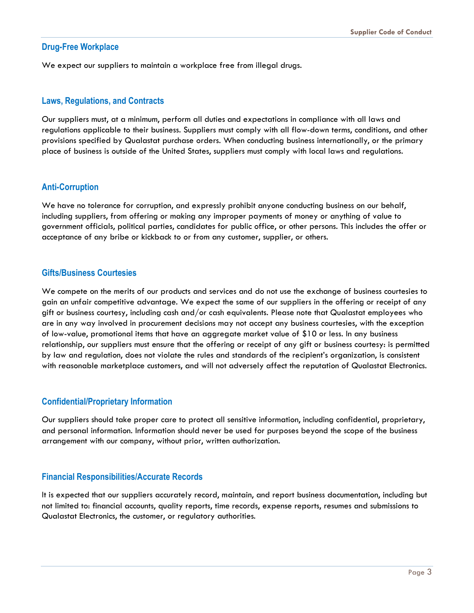#### **Drug-Free Workplace**

We expect our suppliers to maintain a workplace free from illegal drugs.

#### **Laws, Regulations, and Contracts**

Our suppliers must, at a minimum, perform all duties and expectations in compliance with all laws and regulations applicable to their business. Suppliers must comply with all flow-down terms, conditions, and other provisions specified by Qualastat purchase orders. When conducting business internationally, or the primary place of business is outside of the United States, suppliers must comply with local laws and regulations.

#### **Anti-Corruption**

We have no tolerance for corruption, and expressly prohibit anyone conducting business on our behalf, including suppliers, from offering or making any improper payments of money or anything of value to government officials, political parties, candidates for public office, or other persons. This includes the offer or acceptance of any bribe or kickback to or from any customer, supplier, or others.

#### **Gifts/Business Courtesies**

We compete on the merits of our products and services and do not use the exchange of business courtesies to gain an unfair competitive advantage. We expect the same of our suppliers in the offering or receipt of any gift or business courtesy, including cash and/or cash equivalents. Please note that Qualastat employees who are in any way involved in procurement decisions may not accept any business courtesies, with the exception of low-value, promotional items that have an aggregate market value of \$10 or less. In any business relationship, our suppliers must ensure that the offering or receipt of any gift or business courtesy: is permitted by law and regulation, does not violate the rules and standards of the recipient's organization, is consistent with reasonable marketplace customers, and will not adversely affect the reputation of Qualastat Electronics.

#### **Confidential/Proprietary Information**

Our suppliers should take proper care to protect all sensitive information, including confidential, proprietary, and personal information. Information should never be used for purposes beyond the scope of the business arrangement with our company, without prior, written authorization.

#### **Financial Responsibilities/Accurate Records**

It is expected that our suppliers accurately record, maintain, and report business documentation, including but not limited to: financial accounts, quality reports, time records, expense reports, resumes and submissions to Qualastat Electronics, the customer, or regulatory authorities.